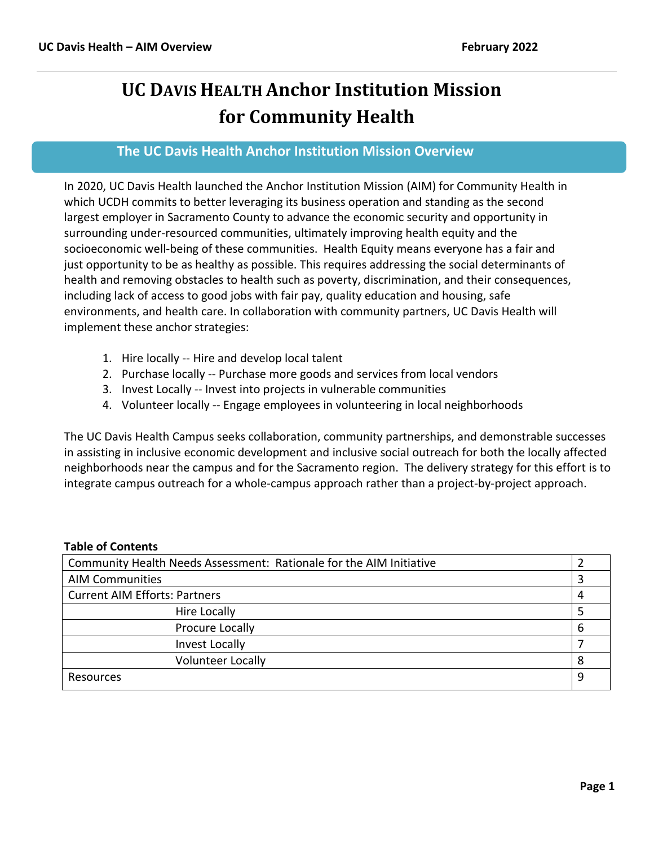# **UC DAVIS HEALTH Anchor Institution Mission for Community Health**

# **The UC Davis Health Anchor Institution Mission Overview**

In 2020, UC Davis Health launched the Anchor Institution Mission (AIM) for Community Health in which UCDH commits to better leveraging its business operation and standing as the second largest employer in Sacramento County to advance the economic security and opportunity in surrounding under-resourced communities, ultimately improving health equity and the socioeconomic well-being of these communities. Health Equity means everyone has a fair and just opportunity to be as healthy as possible. This requires addressing the social determinants of health and removing obstacles to health such as poverty, discrimination, and their consequences, including lack of access to good jobs with fair pay, quality education and housing, safe environments, and health care. In collaboration with community partners, UC Davis Health will implement these anchor strategies:

- 1. Hire locally -- Hire and develop local talent
- 2. Purchase locally -- Purchase more goods and services from local vendors
- 3. Invest Locally -- Invest into projects in vulnerable communities
- 4. Volunteer locally -- Engage employees in volunteering in local neighborhoods

The UC Davis Health Campus seeks collaboration, community partnerships, and demonstrable successes in assisting in inclusive economic development and inclusive social outreach for both the locally affected neighborhoods near the campus and for the Sacramento region. The delivery strategy for this effort is to integrate campus outreach for a whole-campus approach rather than a project-by-project approach.

# **Table of Contents**

| Community Health Needs Assessment: Rationale for the AIM Initiative |   |  |  |  |
|---------------------------------------------------------------------|---|--|--|--|
| <b>AIM Communities</b>                                              |   |  |  |  |
| <b>Current AIM Efforts: Partners</b>                                |   |  |  |  |
| <b>Hire Locally</b>                                                 |   |  |  |  |
| Procure Locally                                                     | 6 |  |  |  |
| Invest Locally                                                      |   |  |  |  |
| <b>Volunteer Locally</b>                                            | 8 |  |  |  |
| Resources                                                           | 9 |  |  |  |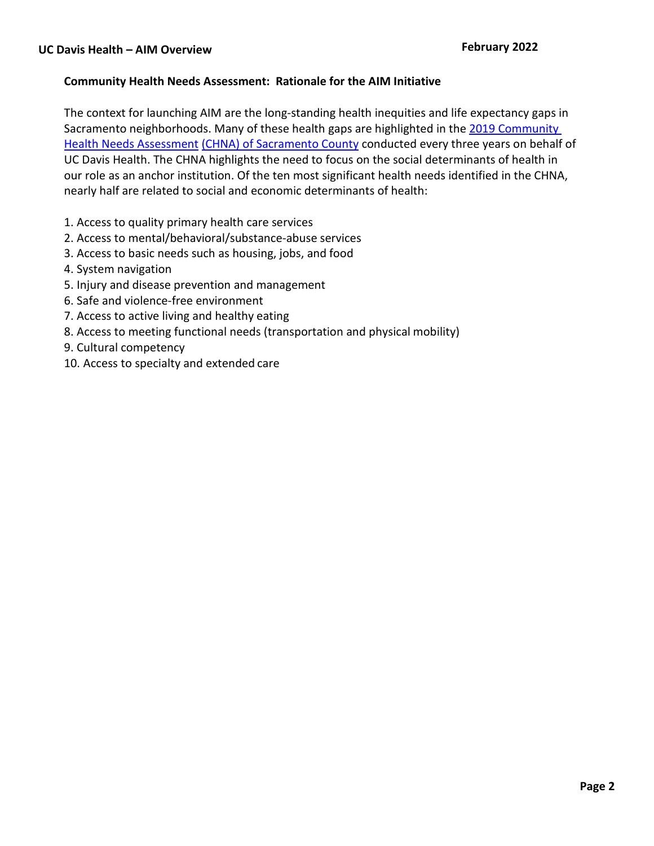# **Community Health Needs Assessment: Rationale for the AIM Initiative**

The context for launching AIM are the long-standing health inequities and life expectancy gaps in Sacramento neighborhoods. Many of these health gaps are highlighted in the 2019 Community Health Needs Assessment (CHNA) of Sacramento County conducted every three years on behalf of UC Davis Health. The CHNA highlights the need to focus on the social determinants of health in our role as an anchor institution. Of the ten most significant health needs identified in the CHNA, nearly half are related to social and economic determinants of health:

- 1. Access to quality primary health care services
- 2. Access to mental/behavioral/substance-abuse services
- 3. Access to basic needs such as housing, jobs, and food
- 4. System navigation
- 5. Injury and disease prevention and management
- 6. Safe and violence-free environment
- 7. Access to active living and healthy eating
- 8. Access to meeting functional needs (transportation and physical mobility)
- 9. Cultural competency
- 10. Access to specialty and extended care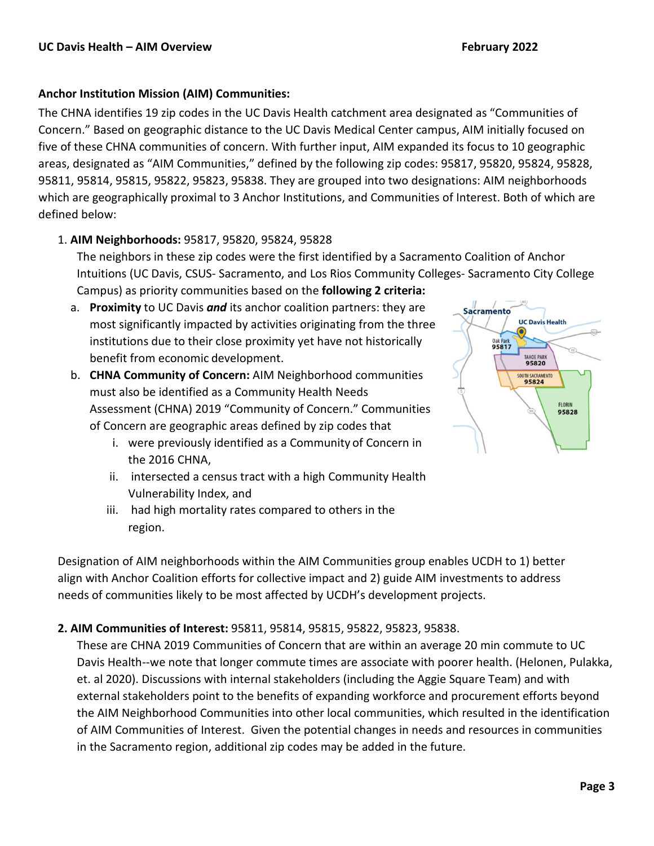# **Anchor Institution Mission (AIM) Communities:**

The CHNA identifies 19 zip codes in the UC Davis Health catchment area designated as "Communities of Concern." Based on geographic distance to the UC Davis Medical Center campus, AIM initially focused on five of these CHNA communities of concern. With further input, AIM expanded its focus to 10 geographic areas, designated as "AIM Communities," defined by the following zip codes: 95817, 95820, 95824, 95828, 95811, 95814, 95815, 95822, 95823, 95838. They are grouped into two designations: AIM neighborhoods which are geographically proximal to 3 Anchor Institutions, and Communities of Interest. Both of which are defined below:

# 1. **AIM Neighborhoods:** 95817, 95820, 95824, 95828

The neighbors in these zip codes were the first identified by a Sacramento Coalition of Anchor Intuitions (UC Davis, CSUS- Sacramento, and Los Rios Community Colleges- Sacramento City College Campus) as priority communities based on the **following 2 criteria:** 

- a. **Proximity** to UC Davis *and* its anchor coalition partners: they are most significantly impacted by activities originating from the three institutions due to their close proximity yet have not historically benefit from economic development.
- b. **CHNA Community of Concern:** AIM Neighborhood communities must also be identified as a Community Health Needs Assessment (CHNA) 2019 "Community of Concern." Communities of Concern are geographic areas defined by zip codes that
	- i. were previously identified as a Community of Concern in the 2016 CHNA,
	- ii. intersected a census tract with a high Community Health Vulnerability Index, and
	- iii. had high mortality rates compared to others in the region.

Designation of AIM neighborhoods within the AIM Communities group enables UCDH to 1) better align with Anchor Coalition efforts for collective impact and 2) guide AIM investments to address needs of communities likely to be most affected by UCDH's development projects.

# **2. AIM Communities of Interest:** 95811, 95814, 95815, 95822, 95823, 95838.

These are CHNA 2019 Communities of Concern that are within an average 20 min commute to UC Davis Health--we note that longer commute times are associate with poorer health. (Helonen, Pulakka, et. al 2020). Discussions with internal stakeholders (including the Aggie Square Team) and with external stakeholders point to the benefits of expanding workforce and procurement efforts beyond the AIM Neighborhood Communities into other local communities, which resulted in the identification of AIM Communities of Interest. Given the potential changes in needs and resources in communities in the Sacramento region, additional zip codes may be added in the future.

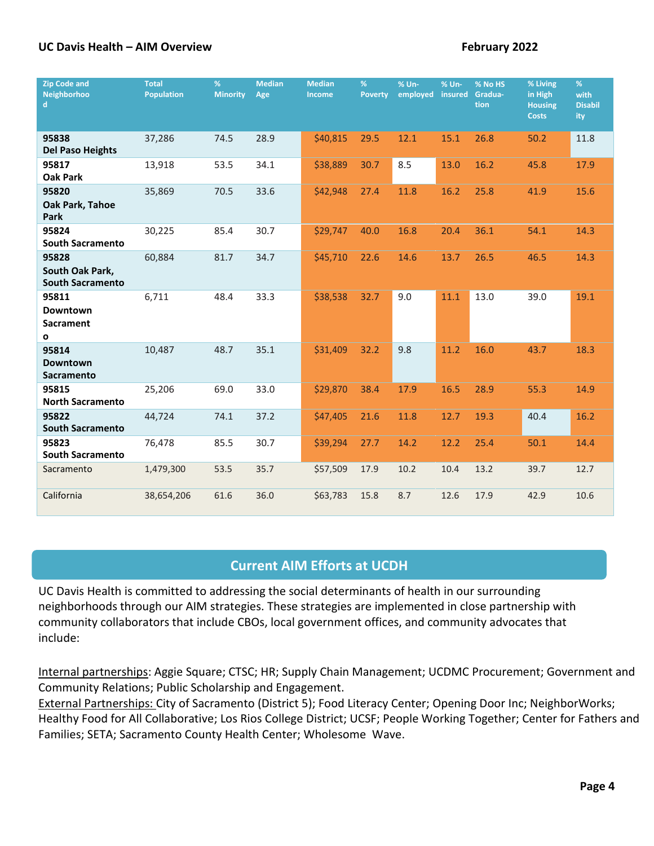| <b>Zip Code and</b><br><b>Neighborhoo</b><br>d.     | <b>Total</b><br><b>Population</b> | %<br><b>Minority</b> | <b>Median</b><br>Age | <b>Median</b><br><b>Income</b> | %<br><b>Poverty</b> | % Un-<br>employed | % Un-<br>insured | % No HS<br>Gradua-<br>tion | % Living<br>in High<br><b>Housing</b><br><b>Costs</b> | %<br>with<br><b>Disabil</b><br>ity |
|-----------------------------------------------------|-----------------------------------|----------------------|----------------------|--------------------------------|---------------------|-------------------|------------------|----------------------------|-------------------------------------------------------|------------------------------------|
| 95838<br><b>Del Paso Heights</b>                    | 37,286                            | 74.5                 | 28.9                 | \$40,815                       | 29.5                | 12.1              | 15.1             | 26.8                       | 50.2                                                  | 11.8                               |
| 95817<br><b>Oak Park</b>                            | 13,918                            | 53.5                 | 34.1                 | \$38,889                       | 30.7                | 8.5               | 13.0             | 16.2                       | 45.8                                                  | 17.9                               |
| 95820<br>Oak Park, Tahoe<br>Park                    | 35,869                            | 70.5                 | 33.6                 | \$42,948                       | 27.4                | 11.8              | 16.2             | 25.8                       | 41.9                                                  | 15.6                               |
| 95824<br><b>South Sacramento</b>                    | 30,225                            | 85.4                 | 30.7                 | \$29,747                       | 40.0                | 16.8              | 20.4             | 36.1                       | 54.1                                                  | 14.3                               |
| 95828<br>South Oak Park,<br><b>South Sacramento</b> | 60,884                            | 81.7                 | 34.7                 | \$45,710                       | 22.6                | 14.6              | 13.7             | 26.5                       | 46.5                                                  | 14.3                               |
| 95811<br><b>Downtown</b><br><b>Sacrament</b><br>O   | 6,711                             | 48.4                 | 33.3                 | \$38,538                       | 32.7                | 9.0               | 11.1             | 13.0                       | 39.0                                                  | 19.1                               |
| 95814<br><b>Downtown</b><br><b>Sacramento</b>       | 10,487                            | 48.7                 | 35.1                 | \$31,409                       | 32.2                | 9.8               | 11.2             | 16.0                       | 43.7                                                  | 18.3                               |
| 95815<br><b>North Sacramento</b>                    | 25,206                            | 69.0                 | 33.0                 | \$29,870                       | 38.4                | 17.9              | 16.5             | 28.9                       | 55.3                                                  | 14.9                               |
| 95822<br><b>South Sacramento</b>                    | 44,724                            | 74.1                 | 37.2                 | \$47,405                       | 21.6                | 11.8              | 12.7             | 19.3                       | 40.4                                                  | 16.2                               |
| 95823<br><b>South Sacramento</b>                    | 76,478                            | 85.5                 | 30.7                 | \$39,294                       | 27.7                | 14.2              | 12.2             | 25.4                       | 50.1                                                  | 14.4                               |
| Sacramento                                          | 1,479,300                         | 53.5                 | 35.7                 | \$57,509                       | 17.9                | 10.2              | 10.4             | 13.2                       | 39.7                                                  | 12.7                               |
| California                                          | 38,654,206                        | 61.6                 | 36.0                 | \$63,783                       | 15.8                | 8.7               | 12.6             | 17.9                       | 42.9                                                  | 10.6                               |

# **Current AIM Efforts at UCDH**

UC Davis Health is committed to addressing the social determinants of health in our surrounding neighborhoods through our AIM strategies. These strategies are implemented in close partnership with community collaborators that include CBOs, local government offices, and community advocates that include:

Internal partnerships: Aggie Square; CTSC; HR; Supply Chain Management; UCDMC Procurement; Government and Community Relations; Public Scholarship and Engagement.

External Partnerships: City of Sacramento (District 5); Food Literacy Center; Opening Door Inc; NeighborWorks; Healthy Food for All Collaborative; Los Rios College District; UCSF; People Working Together; Center for Fathers and Families; SETA; Sacramento County Health Center; Wholesome Wave.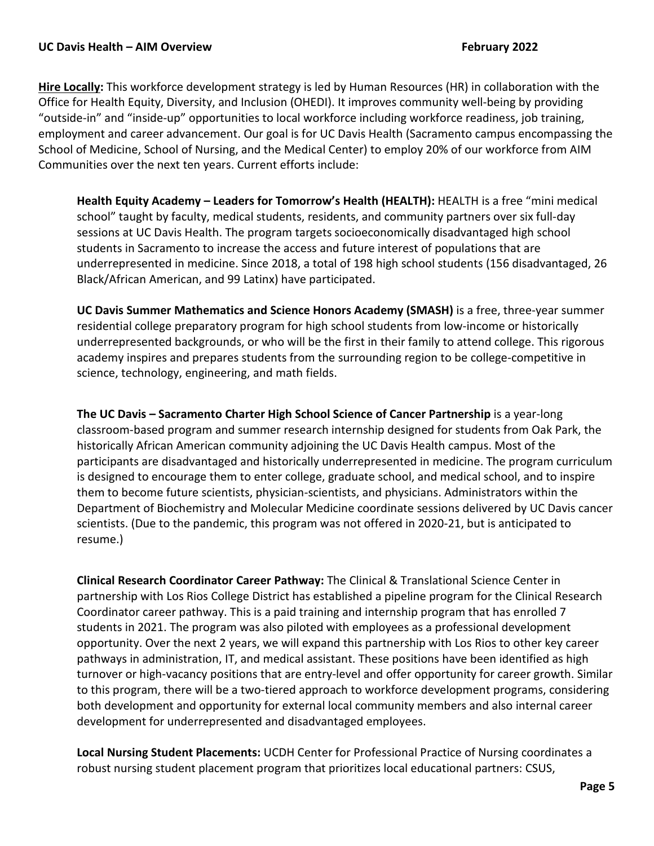**Hire Locally:** This workforce development strategy is led by Human Resources (HR) in collaboration with the Office for Health Equity, Diversity, and Inclusion (OHEDI). It improves community well-being by providing "outside-in" and "inside-up" opportunities to local workforce including workforce readiness, job training, employment and career advancement. Our goal is for UC Davis Health (Sacramento campus encompassing the School of Medicine, School of Nursing, and the Medical Center) to employ 20% of our workforce from AIM Communities over the next ten years. Current efforts include:

**Health Equity Academy – Leaders for Tomorrow's Health (HEALTH):** HEALTH is a free "mini medical school" taught by faculty, medical students, residents, and community partners over six full-day sessions at UC Davis Health. The program targets socioeconomically disadvantaged high school students in Sacramento to increase the access and future interest of populations that are underrepresented in medicine. Since 2018, a total of 198 high school students (156 disadvantaged, 26 Black/African American, and 99 Latinx) have participated.

**UC Davis Summer Mathematics and Science Honors Academy (SMASH)** is a free, three-year summer residential college preparatory program for high school students from low-income or historically underrepresented backgrounds, or who will be the first in their family to attend college. This rigorous academy inspires and prepares students from the surrounding region to be college-competitive in science, technology, engineering, and math fields.

**The UC Davis – Sacramento Charter High School Science of Cancer Partnership** is a year-long classroom-based program and summer research internship designed for students from Oak Park, the historically African American community adjoining the UC Davis Health campus. Most of the participants are disadvantaged and historically underrepresented in medicine. The program curriculum is designed to encourage them to enter college, graduate school, and medical school, and to inspire them to become future scientists, physician-scientists, and physicians. Administrators within the Department of Biochemistry and Molecular Medicine coordinate sessions delivered by UC Davis cancer scientists. (Due to the pandemic, this program was not offered in 2020-21, but is anticipated to resume.)

**Clinical Research Coordinator Career Pathway:** The Clinical & Translational Science Center in partnership with Los Rios College District has established a pipeline program for the Clinical Research Coordinator career pathway. This is a paid training and internship program that has enrolled 7 students in 2021. The program was also piloted with employees as a professional development opportunity. Over the next 2 years, we will expand this partnership with Los Rios to other key career pathways in administration, IT, and medical assistant. These positions have been identified as high turnover or high-vacancy positions that are entry-level and offer opportunity for career growth. Similar to this program, there will be a two-tiered approach to workforce development programs, considering both development and opportunity for external local community members and also internal career development for underrepresented and disadvantaged employees.

**Local Nursing Student Placements:** UCDH Center for Professional Practice of Nursing coordinates a robust nursing student placement program that prioritizes local educational partners: CSUS,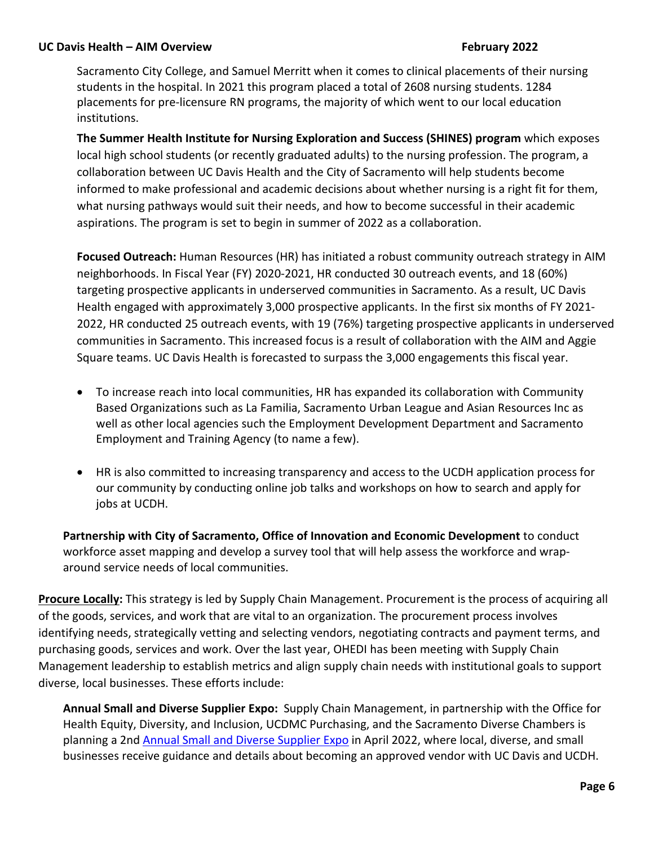Sacramento City College, and Samuel Merritt when it comes to clinical placements of their nursing students in the hospital. In 2021 this program placed a total of 2608 nursing students. 1284 placements for pre-licensure RN programs, the majority of which went to our local education institutions.

**The Summer Health Institute for Nursing Exploration and Success (SHINES) program** which exposes local high school students (or recently graduated adults) to the nursing profession. The program, a collaboration between UC Davis Health and the City of Sacramento will help students become informed to make professional and academic decisions about whether nursing is a right fit for them, what nursing pathways would suit their needs, and how to become successful in their academic aspirations. The program is set to begin in summer of 2022 as a collaboration.

**Focused Outreach:** Human Resources (HR) has initiated a robust community outreach strategy in AIM neighborhoods. In Fiscal Year (FY) 2020-2021, HR conducted 30 outreach events, and 18 (60%) targeting prospective applicants in underserved communities in Sacramento. As a result, UC Davis Health engaged with approximately 3,000 prospective applicants. In the first six months of FY 2021- 2022, HR conducted 25 outreach events, with 19 (76%) targeting prospective applicants in underserved communities in Sacramento. This increased focus is a result of collaboration with the AIM and Aggie Square teams. UC Davis Health is forecasted to surpass the 3,000 engagements this fiscal year.

- To increase reach into local communities, HR has expanded its collaboration with Community Based Organizations such as La Familia, Sacramento Urban League and Asian Resources Inc as well as other local agencies such the Employment Development Department and Sacramento Employment and Training Agency (to name a few).
- HR is also committed to increasing transparency and access to the UCDH application process for our community by conducting online job talks and workshops on how to search and apply for jobs at UCDH.

**Partnership with City of Sacramento, Office of Innovation and Economic Development** to conduct workforce asset mapping and develop a survey tool that will help assess the workforce and wraparound service needs of local communities.

**Procure Locally:** This strategy is led by Supply Chain Management. Procurement is the process of acquiring all of the goods, services, and work that are vital to an organization. The procurement process involves identifying needs, strategically vetting and selecting vendors, negotiating contracts and payment terms, and purchasing goods, services and work. Over the last year, OHEDI has been meeting with Supply Chain Management leadership to establish metrics and align supply chain needs with institutional goals to support diverse, local businesses. These efforts include:

**Annual Small and Diverse Supplier Expo:** Supply Chain Management, in partnership with the Office for Health Equity, Diversity, and Inclusion, UCDMC Purchasing, and the Sacramento Diverse Chambers is planning a 2nd Annual Small and Diverse Supplier Expo in April 2022, where local, diverse, and small businesses receive guidance and details about becoming an approved vendor with UC Davis and UCDH.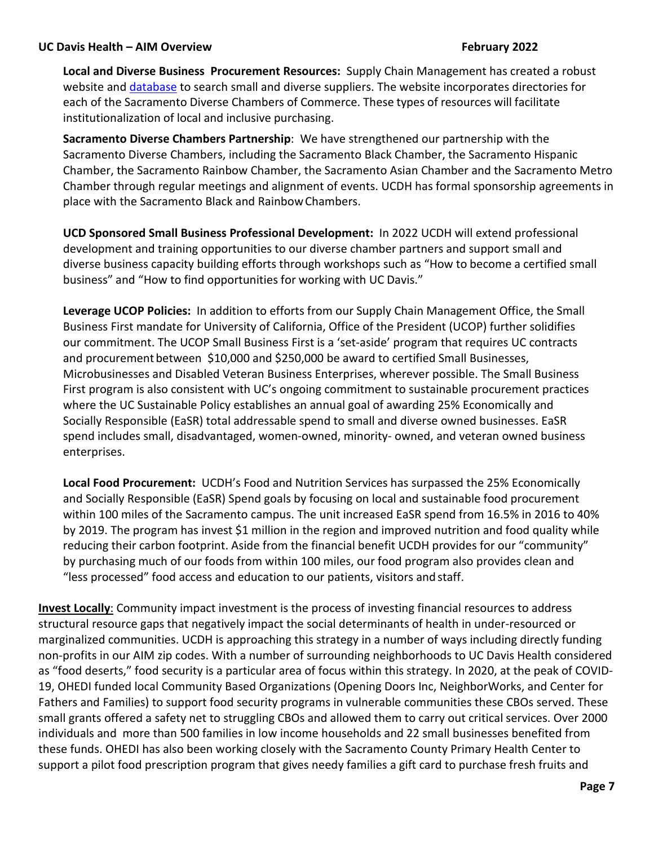**Local and Diverse Business Procurement Resources:** Supply Chain Management has created a robust website and database to search small and diverse suppliers. The website incorporates directories for each of the Sacramento Diverse Chambers of Commerce. These types of resources will facilitate institutionalization of local and inclusive purchasing.

**Sacramento Diverse Chambers Partnership**: We have strengthened our partnership with the Sacramento Diverse Chambers, including the Sacramento Black Chamber, the Sacramento Hispanic Chamber, the Sacramento Rainbow Chamber, the Sacramento Asian Chamber and the Sacramento Metro Chamber through regular meetings and alignment of events. UCDH has formal sponsorship agreements in place with the Sacramento Black and RainbowChambers.

**UCD Sponsored Small Business Professional Development:** In 2022 UCDH will extend professional development and training opportunities to our diverse chamber partners and support small and diverse business capacity building efforts through workshops such as "How to become a certified small business" and "How to find opportunities for working with UC Davis."

**Leverage UCOP Policies:** In addition to efforts from our Supply Chain Management Office, the Small Business First mandate for University of California, Office of the President (UCOP) further solidifies our commitment. The UCOP Small Business First is a 'set-aside' program that requires UC contracts and procurement between \$10,000 and \$250,000 be award to certified Small Businesses, Microbusinesses and Disabled Veteran Business Enterprises, wherever possible. The Small Business First program is also consistent with UC's ongoing commitment to sustainable procurement practices where the UC Sustainable Policy establishes an annual goal of awarding 25% Economically and Socially Responsible (EaSR) total addressable spend to small and diverse owned businesses. EaSR spend includes small, disadvantaged, women-owned, minority- owned, and veteran owned business enterprises.

**Local Food Procurement:** UCDH's Food and Nutrition Services has surpassed the 25% Economically and Socially Responsible (EaSR) Spend goals by focusing on local and sustainable food procurement within 100 miles of the Sacramento campus. The unit increased EaSR spend from 16.5% in 2016 to 40% by 2019. The program has invest \$1 million in the region and improved nutrition and food quality while reducing their carbon footprint. Aside from the financial benefit UCDH provides for our "community" by purchasing much of our foods from within 100 miles, our food program also provides clean and "less processed" food access and education to our patients, visitors and staff.

**Invest Locally**: Community impact investment is the process of investing financial resources to address structural resource gaps that negatively impact the social determinants of health in under-resourced or marginalized communities. UCDH is approaching this strategy in a number of ways including directly funding non-profits in our AIM zip codes. With a number of surrounding neighborhoods to UC Davis Health considered as "food deserts," food security is a particular area of focus within this strategy. In 2020, at the peak of COVID-19, OHEDI funded local Community Based Organizations (Opening Doors Inc, NeighborWorks, and Center for Fathers and Families) to support food security programs in vulnerable communities these CBOs served. These small grants offered a safety net to struggling CBOs and allowed them to carry out critical services. Over 2000 individuals and more than 500 families in low income households and 22 small businesses benefited from these funds. OHEDI has also been working closely with the Sacramento County Primary Health Center to support a pilot food prescription program that gives needy families a gift card to purchase fresh fruits and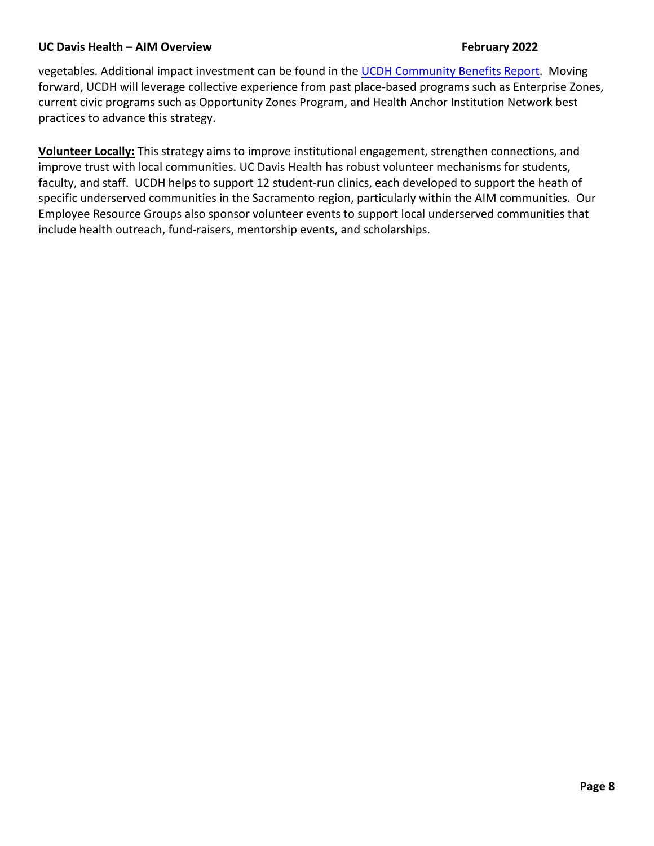vegetables. Additional impact investment can be found in the UCDH Community Benefits Report. Moving forward, UCDH will leverage collective experience from past place-based programs such as Enterprise Zones, current civic programs such as Opportunity Zones Program, and Health Anchor Institution Network best practices to advance this strategy.

**Volunteer Locally:** This strategy aims to improve institutional engagement, strengthen connections, and improve trust with local communities. UC Davis Health has robust volunteer mechanisms for students, faculty, and staff. UCDH helps to support 12 student-run clinics, each developed to support the heath of specific underserved communities in the Sacramento region, particularly within the AIM communities. Our Employee Resource Groups also sponsor volunteer events to support local underserved communities that include health outreach, fund-raisers, mentorship events, and scholarships.